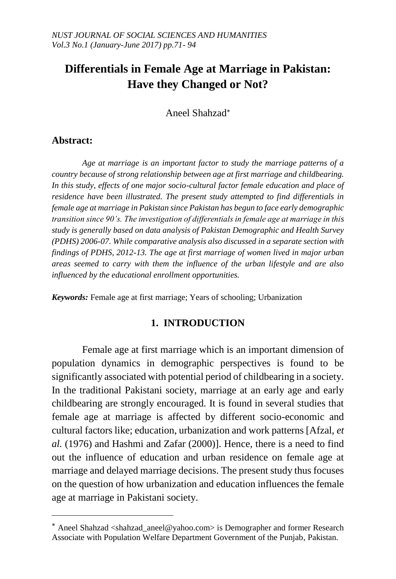# **Differentials in Female Age at Marriage in Pakistan: Have they Changed or Not?**

Aneel Shahzad

# **Abstract:**

 $\overline{a}$ 

*Age at marriage is an important factor to study the marriage patterns of a country because of strong relationship between age at first marriage and childbearing. In this study, effects of one major socio-cultural factor female education and place of residence have been illustrated. The present study attempted to find differentials in female age at marriage in Pakistan since Pakistan has begun to face early demographic transition since 90's. The investigation of differentials in female age at marriage in this study is generally based on data analysis of Pakistan Demographic and Health Survey (PDHS) 2006-07. While comparative analysis also discussed in a separate section with findings of PDHS, 2012-13. The age at first marriage of women lived in major urban areas seemed to carry with them the influence of the urban lifestyle and are also influenced by the educational enrollment opportunities.* 

*Keywords:* Female age at first marriage; Years of schooling; Urbanization

# **1. INTRODUCTION**

Female age at first marriage which is an important dimension of population dynamics in demographic perspectives is found to be significantly associated with potential period of childbearing in a society. In the traditional Pakistani society, marriage at an early age and early childbearing are strongly encouraged. It is found in several studies that female age at marriage is affected by different socio-economic and cultural factors like; education, urbanization and work patterns [Afzal, *et al.* (1976) and Hashmi and Zafar (2000)]. Hence, there is a need to find out the influence of education and urban residence on female age at marriage and delayed marriage decisions. The present study thus focuses on the question of how urbanization and education influences the female age at marriage in Pakistani society.

Aneel Shahzad <shahzad\_aneel@yahoo.com> is Demographer and former Research Associate with Population Welfare Department Government of the Punjab, Pakistan.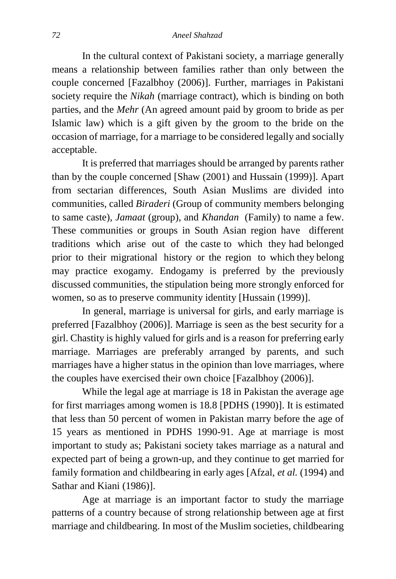In the cultural context of Pakistani society, a marriage generally means a relationship between families rather than only between the couple concerned [Fazalbhoy (2006)]. Further, marriages in Pakistani society require the *Nikah* (marriage contract), which is binding on both parties, and the *Mehr* (An agreed amount paid by groom to bride as per Islamic law) which is a gift given by the groom to the bride on the occasion of marriage, for a marriage to be considered legally and socially acceptable.

It is preferred that marriages should be arranged by parents rather than by the couple concerned [Shaw (2001) and Hussain (1999)]. Apart from sectarian differences, South Asian Muslims are divided into communities, called *Biraderi* (Group of community members belonging to same caste), *Jamaat* (group), and *Khandan* (Family) to name a few. These communities or groups in South Asian region have different traditions which arise out of the caste to which they had belonged prior to their migrational history or the region to which they belong may practice exogamy. Endogamy is preferred by the previously discussed communities, the stipulation being more strongly enforced for women, so as to preserve community identity [Hussain (1999)].

In general, marriage is universal for girls, and early marriage is preferred [Fazalbhoy (2006)]. Marriage is seen as the best security for a girl. Chastity is highly valued for girls and is a reason for preferring early marriage. Marriages are preferably arranged by parents, and such marriages have a higher status in the opinion than love marriages, where the couples have exercised their own choice [Fazalbhoy (2006)].

While the legal age at marriage is 18 in Pakistan the average age for first marriages among women is 18.8 [PDHS (1990)]. It is estimated that less than 50 percent of women in Pakistan marry before the age of 15 years as mentioned in PDHS 1990-91. Age at marriage is most important to study as; Pakistani society takes marriage as a natural and expected part of being a grown-up, and they continue to get married for family formation and childbearing in early ages [Afzal, *et al.* (1994) and Sathar and Kiani (1986)].

Age at marriage is an important factor to study the marriage patterns of a country because of strong relationship between age at first marriage and childbearing. In most of the Muslim societies, childbearing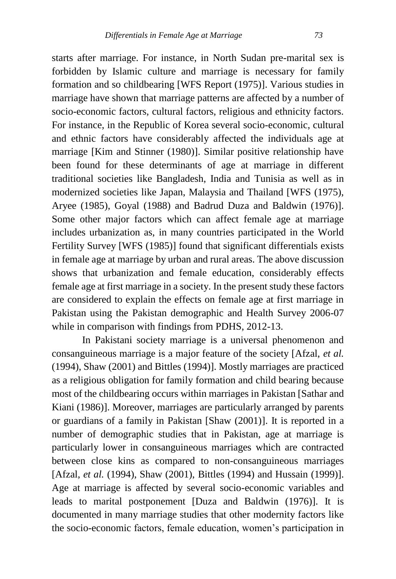starts after marriage. For instance, in North Sudan pre-marital sex is forbidden by Islamic culture and marriage is necessary for family formation and so childbearing [WFS Report (1975)]. Various studies in marriage have shown that marriage patterns are affected by a number of socio-economic factors, cultural factors, religious and ethnicity factors. For instance, in the Republic of Korea several socio-economic, cultural and ethnic factors have considerably affected the individuals age at marriage [Kim and Stinner (1980)]. Similar positive relationship have been found for these determinants of age at marriage in different traditional societies like Bangladesh, India and Tunisia as well as in modernized societies like Japan, Malaysia and Thailand [WFS (1975), Aryee (1985), Goyal (1988) and Badrud Duza and Baldwin (1976)]. Some other major factors which can affect female age at marriage includes urbanization as, in many countries participated in the World Fertility Survey [WFS (1985)] found that significant differentials exists in female age at marriage by urban and rural areas. The above discussion shows that urbanization and female education, considerably effects female age at first marriage in a society. In the present study these factors are considered to explain the effects on female age at first marriage in Pakistan using the Pakistan demographic and Health Survey 2006-07 while in comparison with findings from PDHS, 2012-13.

In Pakistani society marriage is a universal phenomenon and consanguineous marriage is a major feature of the society [Afzal, *et al.* (1994), Shaw (2001) and Bittles (1994)]. Mostly marriages are practiced as a religious obligation for family formation and child bearing because most of the childbearing occurs within marriages in Pakistan [Sathar and Kiani (1986)]. Moreover, marriages are particularly arranged by parents or guardians of a family in Pakistan [Shaw (2001)]. It is reported in a number of demographic studies that in Pakistan, age at marriage is particularly lower in consanguineous marriages which are contracted between close kins as compared to non-consanguineous marriages [Afzal, *et al.* (1994), Shaw (2001), Bittles (1994) and Hussain (1999)]. Age at marriage is affected by several socio-economic variables and leads to marital postponement [Duza and Baldwin (1976)]. It is documented in many marriage studies that other modernity factors like the socio-economic factors, female education, women's participation in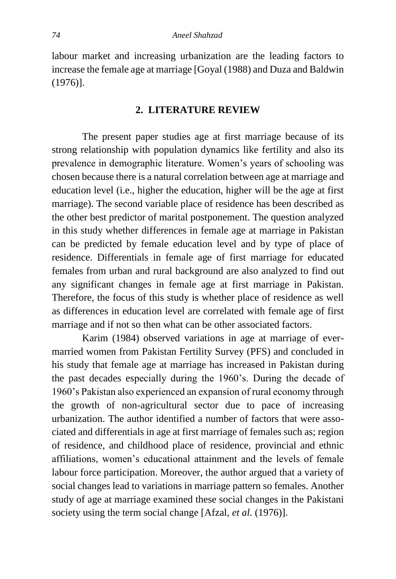labour market and increasing urbanization are the leading factors to increase the female age at marriage [Goyal (1988) and Duza and Baldwin (1976)].

#### **2. LITERATURE REVIEW**

The present paper studies age at first marriage because of its strong relationship with population dynamics like fertility and also its prevalence in demographic literature. Women's years of schooling was chosen because there is a natural correlation between age at marriage and education level (i.e., higher the education, higher will be the age at first marriage). The second variable place of residence has been described as the other best predictor of marital postponement. The question analyzed in this study whether differences in female age at marriage in Pakistan can be predicted by female education level and by type of place of residence. Differentials in female age of first marriage for educated females from urban and rural background are also analyzed to find out any significant changes in female age at first marriage in Pakistan. Therefore, the focus of this study is whether place of residence as well as differences in education level are correlated with female age of first marriage and if not so then what can be other associated factors.

Karim (1984) observed variations in age at marriage of evermarried women from Pakistan Fertility Survey (PFS) and concluded in his study that female age at marriage has increased in Pakistan during the past decades especially during the 1960's. During the decade of 1960's Pakistan also experienced an expansion of rural economy through the growth of non-agricultural sector due to pace of increasing urbanization. The author identified a number of factors that were associated and differentials in age at first marriage of females such as; region of residence, and childhood place of residence, provincial and ethnic affiliations, women's educational attainment and the levels of female labour force participation. Moreover, the author argued that a variety of social changes lead to variations in marriage pattern so females. Another study of age at marriage examined these social changes in the Pakistani society using the term social change [Afzal, *et al.* (1976)].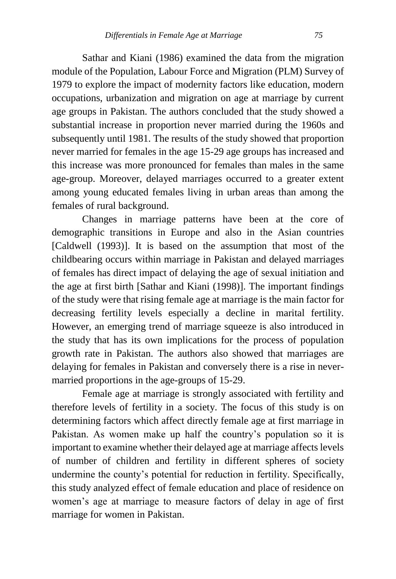Sathar and Kiani (1986) examined the data from the migration module of the Population, Labour Force and Migration (PLM) Survey of 1979 to explore the impact of modernity factors like education, modern occupations, urbanization and migration on age at marriage by current age groups in Pakistan. The authors concluded that the study showed a substantial increase in proportion never married during the 1960s and subsequently until 1981. The results of the study showed that proportion never married for females in the age 15-29 age groups has increased and this increase was more pronounced for females than males in the same age-group. Moreover, delayed marriages occurred to a greater extent among young educated females living in urban areas than among the females of rural background.

Changes in marriage patterns have been at the core of demographic transitions in Europe and also in the Asian countries [Caldwell (1993)]. It is based on the assumption that most of the childbearing occurs within marriage in Pakistan and delayed marriages of females has direct impact of delaying the age of sexual initiation and the age at first birth [Sathar and Kiani (1998)]. The important findings of the study were that rising female age at marriage is the main factor for decreasing fertility levels especially a decline in marital fertility. However, an emerging trend of marriage squeeze is also introduced in the study that has its own implications for the process of population growth rate in Pakistan. The authors also showed that marriages are delaying for females in Pakistan and conversely there is a rise in nevermarried proportions in the age-groups of 15-29.

Female age at marriage is strongly associated with fertility and therefore levels of fertility in a society. The focus of this study is on determining factors which affect directly female age at first marriage in Pakistan. As women make up half the country's population so it is important to examine whether their delayed age at marriage affects levels of number of children and fertility in different spheres of society undermine the county's potential for reduction in fertility. Specifically, this study analyzed effect of female education and place of residence on women's age at marriage to measure factors of delay in age of first marriage for women in Pakistan.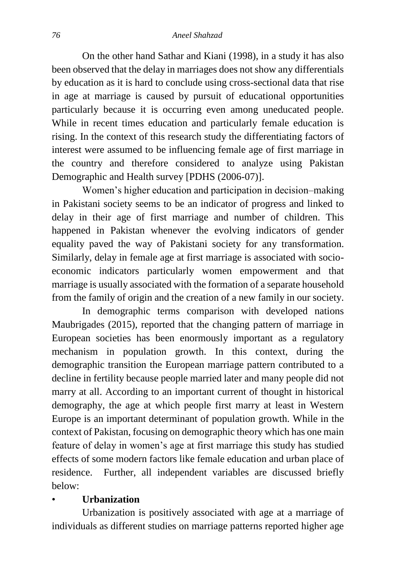On the other hand Sathar and Kiani (1998), in a study it has also been observed that the delay in marriages does not show any differentials by education as it is hard to conclude using cross-sectional data that rise in age at marriage is caused by pursuit of educational opportunities particularly because it is occurring even among uneducated people. While in recent times education and particularly female education is rising. In the context of this research study the differentiating factors of interest were assumed to be influencing female age of first marriage in the country and therefore considered to analyze using Pakistan Demographic and Health survey [PDHS (2006-07)].

Women's higher education and participation in decision–making in Pakistani society seems to be an indicator of progress and linked to delay in their age of first marriage and number of children. This happened in Pakistan whenever the evolving indicators of gender equality paved the way of Pakistani society for any transformation. Similarly, delay in female age at first marriage is associated with socioeconomic indicators particularly women empowerment and that marriage is usually associated with the formation of a separate household from the family of origin and the creation of a new family in our society.

In demographic terms comparison with developed nations Maubrigades (2015), reported that the changing pattern of marriage in European societies has been enormously important as a regulatory mechanism in population growth. In this context, during the demographic transition the European marriage pattern contributed to a decline in fertility because people married later and many people did not marry at all. According to an important current of thought in historical demography, the age at which people first marry at least in Western Europe is an important determinant of population growth. While in the context of Pakistan, focusing on demographic theory which has one main feature of delay in women's age at first marriage this study has studied effects of some modern factors like female education and urban place of residence. Further, all independent variables are discussed briefly below:

# • **Urbanization**

Urbanization is positively associated with age at a marriage of individuals as different studies on marriage patterns reported higher age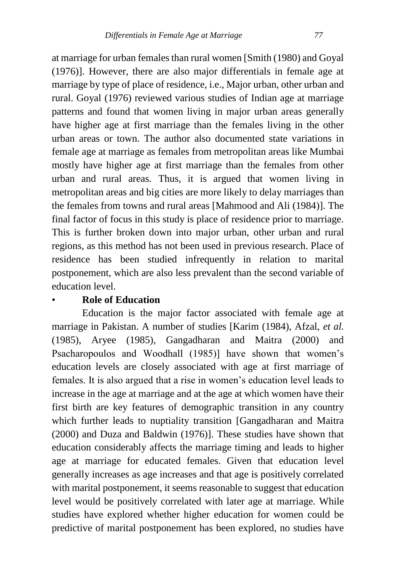at marriage for urban females than rural women [Smith (1980) and Goyal (1976)]. However, there are also major differentials in female age at marriage by type of place of residence, i.e., Major urban, other urban and rural. Goyal (1976) reviewed various studies of Indian age at marriage patterns and found that women living in major urban areas generally have higher age at first marriage than the females living in the other urban areas or town. The author also documented state variations in female age at marriage as females from metropolitan areas like Mumbai mostly have higher age at first marriage than the females from other urban and rural areas. Thus, it is argued that women living in metropolitan areas and big cities are more likely to delay marriages than the females from towns and rural areas [Mahmood and Ali (1984)]. The final factor of focus in this study is place of residence prior to marriage. This is further broken down into major urban, other urban and rural regions, as this method has not been used in previous research. Place of residence has been studied infrequently in relation to marital postponement, which are also less prevalent than the second variable of education level.

# • **Role of Education**

Education is the major factor associated with female age at marriage in Pakistan. A number of studies [Karim (1984), Afzal, *et al.*  (1985), Aryee (1985), Gangadharan and Maitra (2000) and Psacharopoulos and Woodhall (1985)] have shown that women's education levels are closely associated with age at first marriage of females. It is also argued that a rise in women's education level leads to increase in the age at marriage and at the age at which women have their first birth are key features of demographic transition in any country which further leads to nuptiality transition [Gangadharan and Maitra (2000) and Duza and Baldwin (1976)]. These studies have shown that education considerably affects the marriage timing and leads to higher age at marriage for educated females. Given that education level generally increases as age increases and that age is positively correlated with marital postponement, it seems reasonable to suggest that education level would be positively correlated with later age at marriage. While studies have explored whether higher education for women could be predictive of marital postponement has been explored, no studies have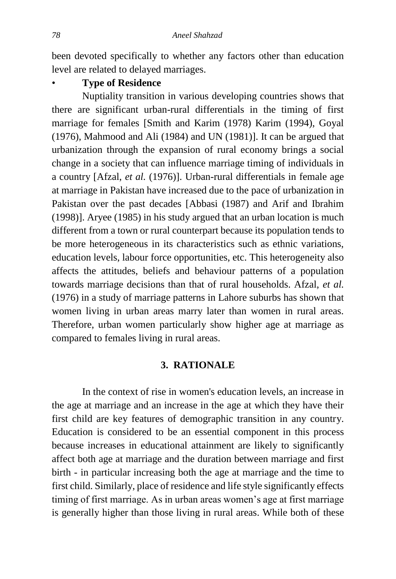been devoted specifically to whether any factors other than education level are related to delayed marriages.

# • **Type of Residence**

Nuptiality transition in various developing countries shows that there are significant urban-rural differentials in the timing of first marriage for females [Smith and Karim (1978) Karim (1994), Goyal (1976), Mahmood and Ali (1984) and UN (1981)]. It can be argued that urbanization through the expansion of rural economy brings a social change in a society that can influence marriage timing of individuals in a country [Afzal, *et al.* (1976)]. Urban-rural differentials in female age at marriage in Pakistan have increased due to the pace of urbanization in Pakistan over the past decades [Abbasi (1987) and Arif and Ibrahim (1998)]. Aryee (1985) in his study argued that an urban location is much different from a town or rural counterpart because its population tends to be more heterogeneous in its characteristics such as ethnic variations, education levels, labour force opportunities, etc. This heterogeneity also affects the attitudes, beliefs and behaviour patterns of a population towards marriage decisions than that of rural households. Afzal, *et al.* (1976) in a study of marriage patterns in Lahore suburbs has shown that women living in urban areas marry later than women in rural areas. Therefore, urban women particularly show higher age at marriage as compared to females living in rural areas.

### **3. RATIONALE**

In the context of rise in women's education levels, an increase in the age at marriage and an increase in the age at which they have their first child are key features of demographic transition in any country. Education is considered to be an essential component in this process because increases in educational attainment are likely to significantly affect both age at marriage and the duration between marriage and first birth - in particular increasing both the age at marriage and the time to first child. Similarly, place of residence and life style significantly effects timing of first marriage. As in urban areas women's age at first marriage is generally higher than those living in rural areas. While both of these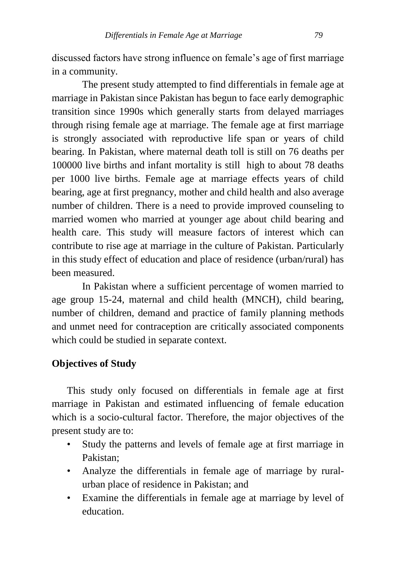discussed factors have strong influence on female's age of first marriage in a community.

The present study attempted to find differentials in female age at marriage in Pakistan since Pakistan has begun to face early demographic transition since 1990s which generally starts from delayed marriages through rising female age at marriage. The female age at first marriage is strongly associated with reproductive life span or years of child bearing. In Pakistan, where maternal death toll is still on 76 deaths per 100000 live births and infant mortality is still high to about 78 deaths per 1000 live births. Female age at marriage effects years of child bearing, age at first pregnancy, mother and child health and also average number of children. There is a need to provide improved counseling to married women who married at younger age about child bearing and health care. This study will measure factors of interest which can contribute to rise age at marriage in the culture of Pakistan. Particularly in this study effect of education and place of residence (urban/rural) has been measured.

In Pakistan where a sufficient percentage of women married to age group 15-24, maternal and child health (MNCH), child bearing, number of children, demand and practice of family planning methods and unmet need for contraception are critically associated components which could be studied in separate context.

# **Objectives of Study**

This study only focused on differentials in female age at first marriage in Pakistan and estimated influencing of female education which is a socio-cultural factor. Therefore, the major objectives of the present study are to:

- Study the patterns and levels of female age at first marriage in Pakistan;
- Analyze the differentials in female age of marriage by ruralurban place of residence in Pakistan; and
- Examine the differentials in female age at marriage by level of education.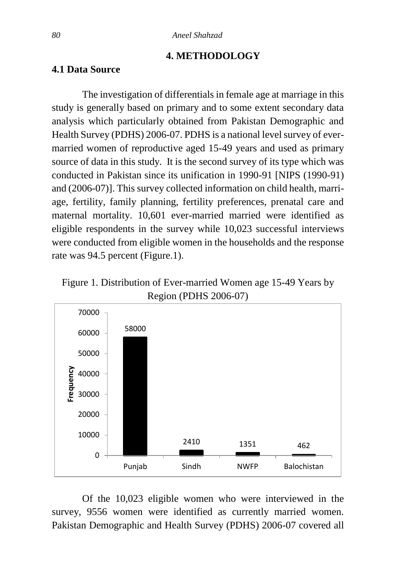#### **4. METHODOLOGY**

# **4.1 Data Source**

The investigation of differentials in female age at marriage in this study is generally based on primary and to some extent secondary data analysis which particularly obtained from Pakistan Demographic and Health Survey (PDHS) 2006-07. PDHS is a national level survey of evermarried women of reproductive aged 15-49 years and used as primary source of data in this study. It is the second survey of its type which was conducted in Pakistan since its unification in 1990-91 [NIPS (1990-91) and (2006-07)]. This survey collected information on child health, marriage, fertility, family planning, fertility preferences, prenatal care and maternal mortality. 10,601 ever-married married were identified as eligible respondents in the survey while 10,023 successful interviews were conducted from eligible women in the households and the response rate was 94.5 percent (Figure.1).





Of the 10,023 eligible women who were interviewed in the survey, 9556 women were identified as currently married women. Pakistan Demographic and Health Survey (PDHS) 2006-07 covered all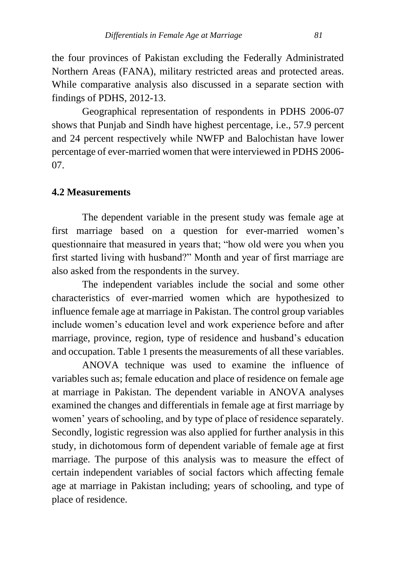the four provinces of Pakistan excluding the Federally Administrated Northern Areas (FANA), military restricted areas and protected areas. While comparative analysis also discussed in a separate section with findings of PDHS, 2012-13.

Geographical representation of respondents in PDHS 2006-07 shows that Punjab and Sindh have highest percentage, i.e., 57.9 percent and 24 percent respectively while NWFP and Balochistan have lower percentage of ever-married women that were interviewed in PDHS 2006- 07.

# **4.2 Measurements**

The dependent variable in the present study was female age at first marriage based on a question for ever-married women's questionnaire that measured in years that; "how old were you when you first started living with husband?" Month and year of first marriage are also asked from the respondents in the survey.

The independent variables include the social and some other characteristics of ever-married women which are hypothesized to influence female age at marriage in Pakistan. The control group variables include women's education level and work experience before and after marriage, province, region, type of residence and husband's education and occupation. Table 1 presents the measurements of all these variables.

ANOVA technique was used to examine the influence of variables such as; female education and place of residence on female age at marriage in Pakistan. The dependent variable in ANOVA analyses examined the changes and differentials in female age at first marriage by women' years of schooling, and by type of place of residence separately. Secondly, logistic regression was also applied for further analysis in this study, in dichotomous form of dependent variable of female age at first marriage. The purpose of this analysis was to measure the effect of certain independent variables of social factors which affecting female age at marriage in Pakistan including; years of schooling, and type of place of residence.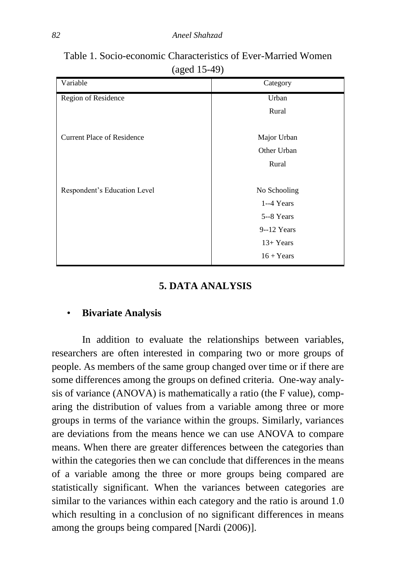| Variable                          | Category       |
|-----------------------------------|----------------|
| Region of Residence               | Urban          |
|                                   | Rural          |
|                                   |                |
| <b>Current Place of Residence</b> | Major Urban    |
|                                   | Other Urban    |
|                                   | Rural          |
|                                   |                |
| Respondent's Education Level      | No Schooling   |
|                                   | $1-4$ Years    |
|                                   | 5--8 Years     |
|                                   | $9 - 12$ Years |
|                                   | $13+Years$     |
|                                   | $16 + Years$   |

Table 1. Socio-economic Characteristics of Ever-Married Women (aged 15-49)

# **5. DATA ANALYSIS**

# • **Bivariate Analysis**

In addition to evaluate the relationships between variables, researchers are often interested in comparing two or more groups of people. As members of the same group changed over time or if there are some differences among the groups on defined criteria. One-way analysis of variance (ANOVA) is mathematically a ratio (the F value), comparing the distribution of values from a variable among three or more groups in terms of the variance within the groups. Similarly, variances are deviations from the means hence we can use ANOVA to compare means. When there are greater differences between the categories than within the categories then we can conclude that differences in the means of a variable among the three or more groups being compared are statistically significant. When the variances between categories are similar to the variances within each category and the ratio is around 1.0 which resulting in a conclusion of no significant differences in means among the groups being compared [Nardi (2006)].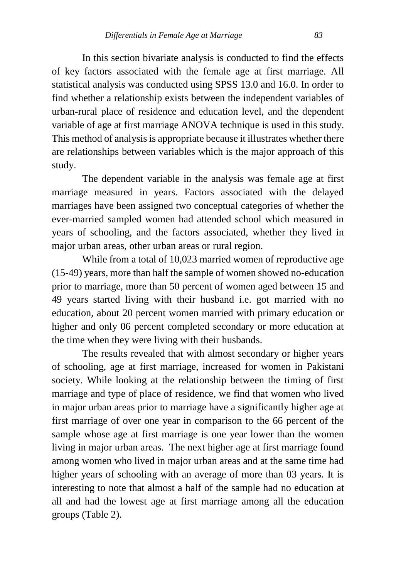In this section bivariate analysis is conducted to find the effects of key factors associated with the female age at first marriage. All statistical analysis was conducted using SPSS 13.0 and 16.0. In order to find whether a relationship exists between the independent variables of urban-rural place of residence and education level, and the dependent variable of age at first marriage ANOVA technique is used in this study. This method of analysis is appropriate because it illustrates whether there are relationships between variables which is the major approach of this study.

The dependent variable in the analysis was female age at first marriage measured in years. Factors associated with the delayed marriages have been assigned two conceptual categories of whether the ever-married sampled women had attended school which measured in years of schooling, and the factors associated, whether they lived in major urban areas, other urban areas or rural region.

While from a total of 10,023 married women of reproductive age (15-49) years, more than half the sample of women showed no-education prior to marriage, more than 50 percent of women aged between 15 and 49 years started living with their husband i.e. got married with no education, about 20 percent women married with primary education or higher and only 06 percent completed secondary or more education at the time when they were living with their husbands.

The results revealed that with almost secondary or higher years of schooling, age at first marriage, increased for women in Pakistani society. While looking at the relationship between the timing of first marriage and type of place of residence, we find that women who lived in major urban areas prior to marriage have a significantly higher age at first marriage of over one year in comparison to the 66 percent of the sample whose age at first marriage is one year lower than the women living in major urban areas. The next higher age at first marriage found among women who lived in major urban areas and at the same time had higher years of schooling with an average of more than 03 years. It is interesting to note that almost a half of the sample had no education at all and had the lowest age at first marriage among all the education groups (Table 2).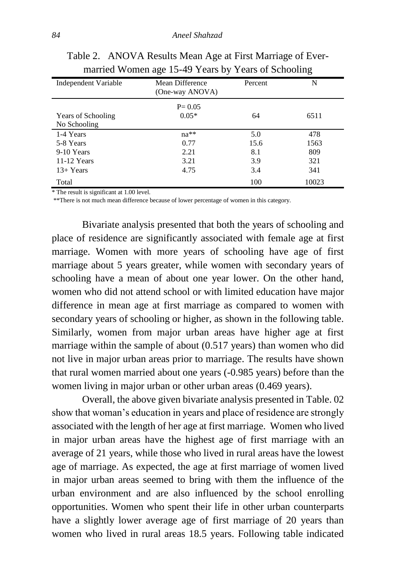| Independent Variable                      | Mean Difference<br>(One-way ANOVA) | Percent | N     |
|-------------------------------------------|------------------------------------|---------|-------|
| <b>Years of Schooling</b><br>No Schooling | $P = 0.05$<br>$0.05*$              | 64      | 6511  |
| 1-4 Years                                 | $na**$                             | 5.0     | 478   |
| 5-8 Years                                 | 0.77                               | 15.6    | 1563  |
| 9-10 Years                                | 2.21                               | 8.1     | 809   |
| 11-12 Years                               | 3.21                               | 3.9     | 321   |
| $13+Years$                                | 4.75                               | 3.4     | 341   |
| Total                                     |                                    | 100     | 10023 |

Table 2. ANOVA Results Mean Age at First Marriage of Evermarried Women age 15-49 Years by Years of Schooling

\* The result is significant at 1.00 level.

\*\*There is not much mean difference because of lower percentage of women in this category.

Bivariate analysis presented that both the years of schooling and place of residence are significantly associated with female age at first marriage. Women with more years of schooling have age of first marriage about 5 years greater, while women with secondary years of schooling have a mean of about one year lower. On the other hand, women who did not attend school or with limited education have major difference in mean age at first marriage as compared to women with secondary years of schooling or higher, as shown in the following table. Similarly, women from major urban areas have higher age at first marriage within the sample of about (0.517 years) than women who did not live in major urban areas prior to marriage. The results have shown that rural women married about one years (-0.985 years) before than the women living in major urban or other urban areas (0.469 years).

Overall, the above given bivariate analysis presented in Table. 02 show that woman's education in years and place of residence are strongly associated with the length of her age at first marriage. Women who lived in major urban areas have the highest age of first marriage with an average of 21 years, while those who lived in rural areas have the lowest age of marriage. As expected, the age at first marriage of women lived in major urban areas seemed to bring with them the influence of the urban environment and are also influenced by the school enrolling opportunities. Women who spent their life in other urban counterparts have a slightly lower average age of first marriage of 20 years than women who lived in rural areas 18.5 years. Following table indicated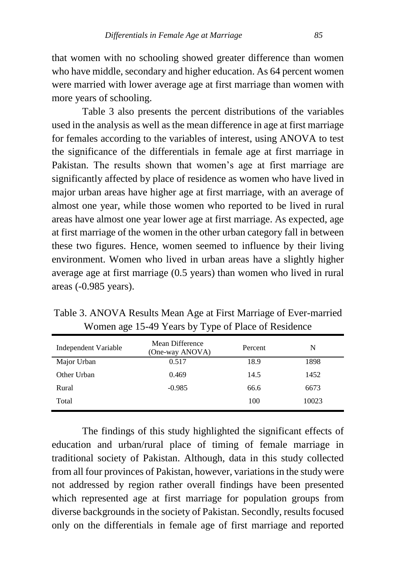that women with no schooling showed greater difference than women who have middle, secondary and higher education. As 64 percent women were married with lower average age at first marriage than women with more years of schooling.

Table 3 also presents the percent distributions of the variables used in the analysis as well as the mean difference in age at first marriage for females according to the variables of interest, using ANOVA to test the significance of the differentials in female age at first marriage in Pakistan. The results shown that women's age at first marriage are significantly affected by place of residence as women who have lived in major urban areas have higher age at first marriage, with an average of almost one year, while those women who reported to be lived in rural areas have almost one year lower age at first marriage. As expected, age at first marriage of the women in the other urban category fall in between these two figures. Hence, women seemed to influence by their living environment. Women who lived in urban areas have a slightly higher average age at first marriage (0.5 years) than women who lived in rural areas (-0.985 years).

Table 3. ANOVA Results Mean Age at First Marriage of Ever-married Women age 15-49 Years by Type of Place of Residence

| Independent Variable | Mean Difference<br>(One-way ANOVA) | Percent | N     |
|----------------------|------------------------------------|---------|-------|
| Major Urban          | 0.517                              | 18.9    | 1898  |
| Other Urban          | 0.469                              | 14.5    | 1452  |
| Rural                | $-0.985$                           | 66.6    | 6673  |
| Total                |                                    | 100     | 10023 |

The findings of this study highlighted the significant effects of education and urban/rural place of timing of female marriage in traditional society of Pakistan. Although, data in this study collected from all four provinces of Pakistan, however, variations in the study were not addressed by region rather overall findings have been presented which represented age at first marriage for population groups from diverse backgrounds in the society of Pakistan. Secondly, results focused only on the differentials in female age of first marriage and reported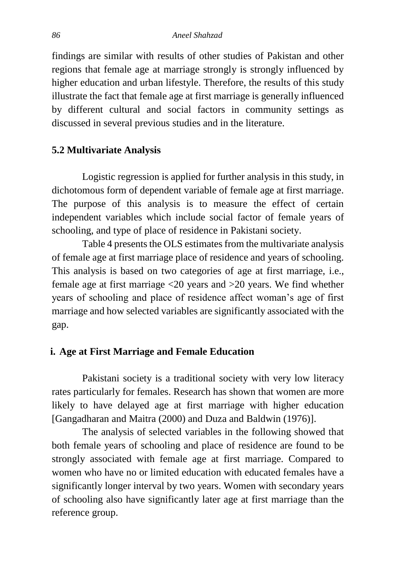findings are similar with results of other studies of Pakistan and other regions that female age at marriage strongly is strongly influenced by higher education and urban lifestyle. Therefore, the results of this study illustrate the fact that female age at first marriage is generally influenced by different cultural and social factors in community settings as discussed in several previous studies and in the literature.

# **5.2 Multivariate Analysis**

Logistic regression is applied for further analysis in this study, in dichotomous form of dependent variable of female age at first marriage. The purpose of this analysis is to measure the effect of certain independent variables which include social factor of female years of schooling, and type of place of residence in Pakistani society.

Table 4 presents the OLS estimates from the multivariate analysis of female age at first marriage place of residence and years of schooling. This analysis is based on two categories of age at first marriage, i.e., female age at first marriage <20 years and >20 years. We find whether years of schooling and place of residence affect woman's age of first marriage and how selected variables are significantly associated with the gap.

### **i. Age at First Marriage and Female Education**

Pakistani society is a traditional society with very low literacy rates particularly for females. Research has shown that women are more likely to have delayed age at first marriage with higher education [Gangadharan and Maitra (2000) and Duza and Baldwin (1976)].

The analysis of selected variables in the following showed that both female years of schooling and place of residence are found to be strongly associated with female age at first marriage. Compared to women who have no or limited education with educated females have a significantly longer interval by two years. Women with secondary years of schooling also have significantly later age at first marriage than the reference group.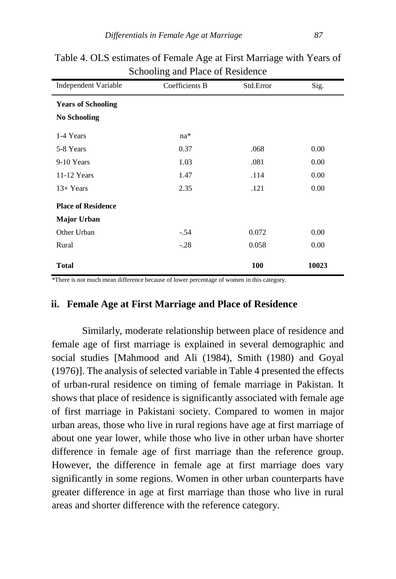| o                         |                |           |       |  |  |
|---------------------------|----------------|-----------|-------|--|--|
| Independent Variable      | Coefficients B | Std.Error | Sig.  |  |  |
| <b>Years of Schooling</b> |                |           |       |  |  |
| <b>No Schooling</b>       |                |           |       |  |  |
| 1-4 Years                 | na*            |           |       |  |  |
| 5-8 Years                 | 0.37           | .068      | 0.00  |  |  |
| 9-10 Years                | 1.03           | .081      | 0.00  |  |  |
| $11-12$ Years             | 1.47           | .114      | 0.00  |  |  |
| $13+Years$                | 2.35           | .121      | 0.00  |  |  |
| <b>Place of Residence</b> |                |           |       |  |  |
| <b>Major Urban</b>        |                |           |       |  |  |
| Other Urban               | $-.54$         | 0.072     | 0.00  |  |  |
| Rural                     | $-.28$         | 0.058     | 0.00  |  |  |
| <b>Total</b>              |                | 100       | 10023 |  |  |

Table 4. OLS estimates of Female Age at First Marriage with Years of Schooling and Place of Residence

\*There is not much mean difference because of lower percentage of women in this category.

#### **ii. Female Age at First Marriage and Place of Residence**

Similarly, moderate relationship between place of residence and female age of first marriage is explained in several demographic and social studies [Mahmood and Ali (1984), Smith (1980) and Goyal (1976)]. The analysis of selected variable in Table 4 presented the effects of urban-rural residence on timing of female marriage in Pakistan. It shows that place of residence is significantly associated with female age of first marriage in Pakistani society. Compared to women in major urban areas, those who live in rural regions have age at first marriage of about one year lower, while those who live in other urban have shorter difference in female age of first marriage than the reference group. However, the difference in female age at first marriage does vary significantly in some regions. Women in other urban counterparts have greater difference in age at first marriage than those who live in rural areas and shorter difference with the reference category.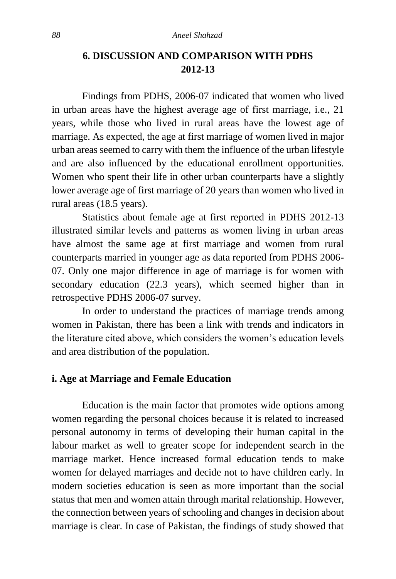# **6. DISCUSSION AND COMPARISON WITH PDHS 2012-13**

Findings from PDHS, 2006-07 indicated that women who lived in urban areas have the highest average age of first marriage, i.e., 21 years, while those who lived in rural areas have the lowest age of marriage. As expected, the age at first marriage of women lived in major urban areas seemed to carry with them the influence of the urban lifestyle and are also influenced by the educational enrollment opportunities. Women who spent their life in other urban counterparts have a slightly lower average age of first marriage of 20 years than women who lived in rural areas (18.5 years).

Statistics about female age at first reported in PDHS 2012-13 illustrated similar levels and patterns as women living in urban areas have almost the same age at first marriage and women from rural counterparts married in younger age as data reported from PDHS 2006- 07. Only one major difference in age of marriage is for women with secondary education (22.3 years), which seemed higher than in retrospective PDHS 2006-07 survey.

In order to understand the practices of marriage trends among women in Pakistan, there has been a link with trends and indicators in the literature cited above, which considers the women's education levels and area distribution of the population.

### **i. Age at Marriage and Female Education**

Education is the main factor that promotes wide options among women regarding the personal choices because it is related to increased personal autonomy in terms of developing their human capital in the labour market as well to greater scope for independent search in the marriage market. Hence increased formal education tends to make women for delayed marriages and decide not to have children early. In modern societies education is seen as more important than the social status that men and women attain through marital relationship. However, the connection between years of schooling and changes in decision about marriage is clear. In case of Pakistan, the findings of study showed that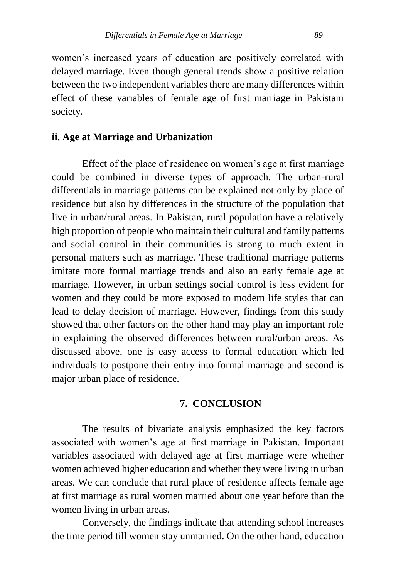women's increased years of education are positively correlated with delayed marriage. Even though general trends show a positive relation between the two independent variables there are many differences within effect of these variables of female age of first marriage in Pakistani society.

# **ii. Age at Marriage and Urbanization**

Effect of the place of residence on women's age at first marriage could be combined in diverse types of approach. The urban-rural differentials in marriage patterns can be explained not only by place of residence but also by differences in the structure of the population that live in urban/rural areas. In Pakistan, rural population have a relatively high proportion of people who maintain their cultural and family patterns and social control in their communities is strong to much extent in personal matters such as marriage. These traditional marriage patterns imitate more formal marriage trends and also an early female age at marriage. However, in urban settings social control is less evident for women and they could be more exposed to modern life styles that can lead to delay decision of marriage. However, findings from this study showed that other factors on the other hand may play an important role in explaining the observed differences between rural/urban areas. As discussed above, one is easy access to formal education which led individuals to postpone their entry into formal marriage and second is major urban place of residence.

#### **7. CONCLUSION**

The results of bivariate analysis emphasized the key factors associated with women's age at first marriage in Pakistan. Important variables associated with delayed age at first marriage were whether women achieved higher education and whether they were living in urban areas. We can conclude that rural place of residence affects female age at first marriage as rural women married about one year before than the women living in urban areas.

Conversely, the findings indicate that attending school increases the time period till women stay unmarried. On the other hand, education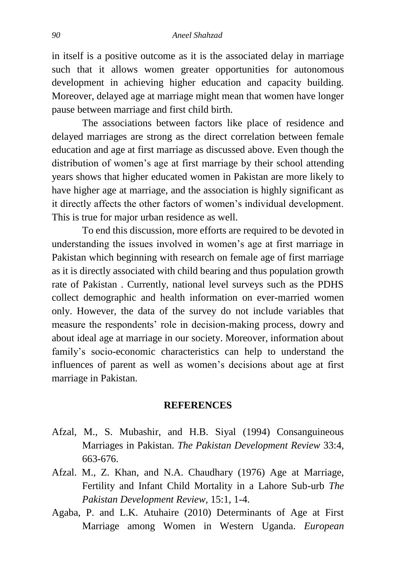in itself is a positive outcome as it is the associated delay in marriage such that it allows women greater opportunities for autonomous development in achieving higher education and capacity building. Moreover, delayed age at marriage might mean that women have longer pause between marriage and first child birth.

The associations between factors like place of residence and delayed marriages are strong as the direct correlation between female education and age at first marriage as discussed above. Even though the distribution of women's age at first marriage by their school attending years shows that higher educated women in Pakistan are more likely to have higher age at marriage, and the association is highly significant as it directly affects the other factors of women's individual development. This is true for major urban residence as well.

To end this discussion, more efforts are required to be devoted in understanding the issues involved in women's age at first marriage in Pakistan which beginning with research on female age of first marriage as it is directly associated with child bearing and thus population growth rate of Pakistan . Currently, national level surveys such as the PDHS collect demographic and health information on ever-married women only. However, the data of the survey do not include variables that measure the respondents' role in decision-making process, dowry and about ideal age at marriage in our society. Moreover, information about family's socio-economic characteristics can help to understand the influences of parent as well as women's decisions about age at first marriage in Pakistan.

#### **REFERENCES**

- Afzal, M., S. Mubashir, and H.B. Siyal (1994) Consanguineous Marriages in Pakistan. *The Pakistan Development Review* 33:4, 663-676.
- Afzal. M., Z. Khan, and N.A. Chaudhary (1976) Age at Marriage, Fertility and Infant Child Mortality in a Lahore Sub-urb *The Pakistan Development Review,* 15:1, 1-4.
- Agaba, P. and L.K. Atuhaire (2010) Determinants of Age at First Marriage among Women in Western Uganda. *European*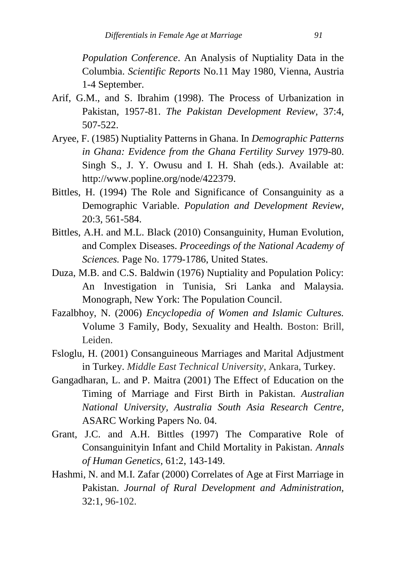*Population Conference*. An Analysis of Nuptiality Data in the Columbia. *Scientific Reports* No.11 May 1980, Vienna, Austria 1-4 September.

- Arif, G.M., and S. Ibrahim (1998). The Process of Urbanization in Pakistan, 1957-81. *The Pakistan Development Review,* 37:4, 507-522.
- Aryee, F. (1985) Nuptiality Patterns in Ghana. In *Demographic Patterns in Ghana: Evidence from the Ghana Fertility Survey* 1979-80. Singh S., J. Y. Owusu and I. H. Shah (eds.). Available at: [http://www.popline.org/node/422379.](http://www.popline.org/node/422379)
- Bittles, H. (1994) The Role and Significance of Consanguinity as a Demographic Variable. *Population and Development Review,* 20:3, 561-584.
- Bittles, A.H. and M.L. Black (2010) Consanguinity, Human Evolution, and Complex Diseases. *Proceedings of the National Academy of Sciences.* Page No. 1779-1786, United States.
- Duza, M.B. and C.S. Baldwin (1976) Nuptiality and Population Policy: An Investigation in Tunisia, Sri Lanka and Malaysia. Monograph, New York: The Population Council.
- Fazalbhoy, N. (2006) *Encyclopedia of Women and Islamic Cultures.*  Volume 3 Family, Body, Sexuality and Health. Boston: Brill, Leiden.
- Fsloglu, H. (2001) Consanguineous Marriages and Marital Adjustment in Turkey. *Middle East Technical University*, Ankara, Turkey.
- Gangadharan, L. and P. Maitra (2001) The Effect of Education on the Timing of Marriage and First Birth in Pakistan. *Australian National University, Australia South Asia Research Centre,*  [ASARC Working Papers](http://ideas.repec.org/s/pas/asarcc.html) No. 04.
- Grant, J.C. and A.H. Bittles (1997) The Comparative Role of Consanguinityin Infant and Child Mortality in Pakistan. *Annals of Human Genetics,* 61:2, 143-149.
- Hashmi, N. and M.I. Zafar (2000) Correlates of Age at First Marriage in Pakistan. *Journal of Rural Development and Administration,* 32:1, 96-102.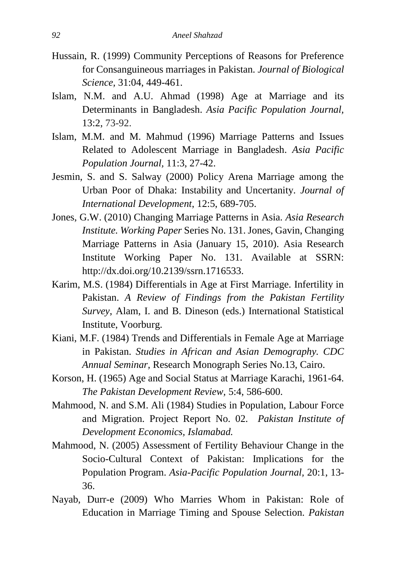- Hussain, R. (1999) Community Perceptions of Reasons for Preference for Consanguineous marriages in Pakistan. *Journal of Biological Science,* 31:04, 449-461.
- Islam, N.M. and A.U. Ahmad (1998) Age at Marriage and its Determinants in Bangladesh. *Asia Pacific Population Journal,* 13:2, 73-92.
- Islam, M.M. and M. Mahmud (1996) Marriage Patterns and Issues Related to Adolescent Marriage in Bangladesh. *Asia Pacific Population Journal,* 11:3, 27-42.
- Jesmin, S. and S. Salway (2000) Policy Arena Marriage among the Urban Poor of Dhaka: Instability and Uncertanity. *Journal of International Development*, 12:5, 689-705.
- Jones, G.W. (2010) Changing Marriage Patterns in Asia. *Asia Research Institute. Working Paper* Series No. 131. Jones, Gavin, Changing Marriage Patterns in Asia (January 15, 2010). Asia Research Institute Working Paper No. 131. Available at SSRN: [http://dx.doi.org/10.2139/ssrn.1716533.](http://dx.doi.org/10.2139/ssrn.1716533)
- Karim, M.S. (1984) Differentials in Age at First Marriage. Infertility in Pakistan. *A Review of Findings from the Pakistan Fertility Survey*, Alam, I. and B. Dineson (eds.) International Statistical Institute, Voorburg.
- Kiani, M.F. (1984) Trends and Differentials in Female Age at Marriage in Pakistan. *Studies in African and Asian Demography. CDC Annual Seminar,* Research Monograph Series No.13, Cairo.
- Korson, H. (1965) Age and Social Status at Marriage Karachi, 1961-64. *The Pakistan Development Review,* 5:4, 586-600.
- Mahmood, N. and S.M. Ali (1984) Studies in Population, Labour Force and Migration. Project Report No. 02. *Pakistan Institute of Development Economics, Islamabad.*
- Mahmood, N. (2005) Assessment of Fertility Behaviour Change in the Socio-Cultural Context of Pakistan: Implications for the Population Program. *Asia-Pacific Population Journal,* 20:1, 13- 36.
- Nayab, Durr-e (2009) Who Marries Whom in Pakistan: Role of Education in Marriage Timing and Spouse Selection. *Pakistan*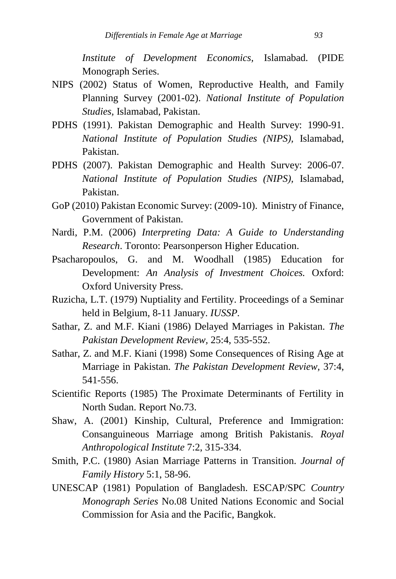*Institute of Development Economics,* Islamabad. (PIDE Monograph Series.

- NIPS (2002) Status of Women, Reproductive Health, and Family Planning Survey (2001-02). *National Institute of Population Studies,* Islamabad, Pakistan.
- PDHS (1991). Pakistan Demographic and Health Survey: 1990-91. *National Institute of Population Studies (NIPS),* Islamabad, Pakistan.
- PDHS (2007). Pakistan Demographic and Health Survey: 2006-07. *National Institute of Population Studies (NIPS),* Islamabad, Pakistan.
- GoP (2010) Pakistan Economic Survey: (2009-10). Ministry of Finance, Government of Pakistan.
- Nardi, P.M. (2006) *Interpreting Data: A Guide to Understanding Research*. Toronto: Pearsonperson Higher Education.
- Psacharopoulos, G. and M. Woodhall (1985) Education for Development: *An Analysis of Investment Choices.* Oxford: Oxford University Press.
- Ruzicha, L.T. (1979) Nuptiality and Fertility. Proceedings of a Seminar held in Belgium, 8-11 January. *IUSSP.*
- Sathar, Z. and M.F. Kiani (1986) Delayed Marriages in Pakistan. *The Pakistan Development Review,* 25:4, 535-552.
- Sathar, Z. and M.F. Kiani (1998) Some Consequences of Rising Age at Marriage in Pakistan. *The Pakistan Development Review,* 37:4, 541-556.
- Scientific Reports (1985) The Proximate Determinants of Fertility in North Sudan. Report No.73.
- Shaw, A. (2001) Kinship, Cultural, Preference and Immigration: Consanguineous Marriage among British Pakistanis. *Royal Anthropological Institute* 7:2, 315-334.
- Smith, P.C. (1980) Asian Marriage Patterns in Transition. *Journal of Family History* 5:1, 58-96.
- UNESCAP (1981) Population of Bangladesh. ESCAP/SPC *Country Monograph Series* No.08 United Nations Economic and Social Commission for Asia and the Pacific, Bangkok.